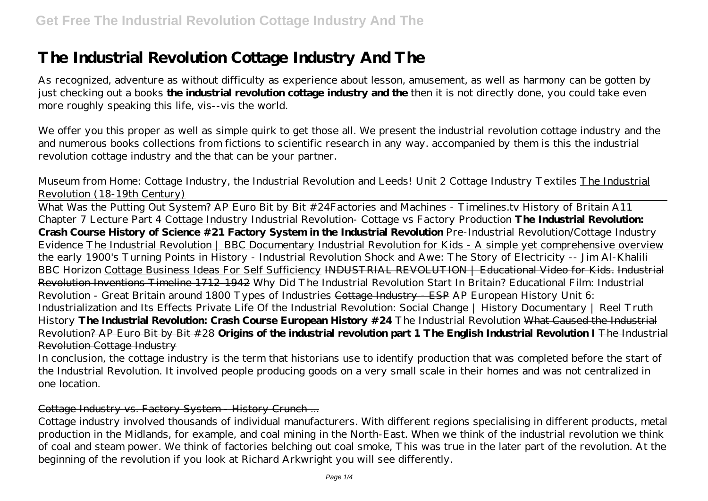# **The Industrial Revolution Cottage Industry And The**

As recognized, adventure as without difficulty as experience about lesson, amusement, as well as harmony can be gotten by just checking out a books **the industrial revolution cottage industry and the** then it is not directly done, you could take even more roughly speaking this life, vis--vis the world.

We offer you this proper as well as simple quirk to get those all. We present the industrial revolution cottage industry and the and numerous books collections from fictions to scientific research in any way. accompanied by them is this the industrial revolution cottage industry and the that can be your partner.

*Museum from Home: Cottage Industry, the Industrial Revolution and Leeds! Unit 2 Cottage Industry Textiles* The Industrial Revolution (18-19th Century)

What Was the Putting Out System? AP Euro Bit by Bit #24Factories and Machines - Timelines.tv History of Britain A11 *Chapter 7 Lecture Part 4* Cottage Industry *Industrial Revolution- Cottage vs Factory Production* **The Industrial Revolution: Crash Course History of Science #21 Factory System in the Industrial Revolution** Pre-Industrial Revolution/Cottage Industry Evidence The Industrial Revolution | BBC Documentary Industrial Revolution for Kids - A simple yet comprehensive overview *the early 1900's Turning Points in History - Industrial Revolution Shock and Awe: The Story of Electricity -- Jim Al-Khalili BBC Horizon* Cottage Business Ideas For Self Sufficiency INDUSTRIAL REVOLUTION | Educational Video for Kids. Industrial Revolution Inventions Timeline 1712-1942 *Why Did The Industrial Revolution Start In Britain? Educational Film: Industrial Revolution - Great Britain around 1800 Types of Industries* Cottage Industry - ESP *AP European History Unit 6: Industrialization and Its Effects Private Life Of the Industrial Revolution: Social Change | History Documentary | Reel Truth History* **The Industrial Revolution: Crash Course European History #24** *The Industrial Revolution* What Caused the Industrial Revolution? AP Euro Bit by Bit #28 **Origins of the industrial revolution part 1 The English Industrial Revolution I** The Industrial Revolution Cottage Industry

In conclusion, the cottage industry is the term that historians use to identify production that was completed before the start of the Industrial Revolution. It involved people producing goods on a very small scale in their homes and was not centralized in one location.

# Cottage Industry vs. Factory System - History Crunch ...

Cottage industry involved thousands of individual manufacturers. With different regions specialising in different products, metal production in the Midlands, for example, and coal mining in the North-East. When we think of the industrial revolution we think of coal and steam power. We think of factories belching out coal smoke, This was true in the later part of the revolution. At the beginning of the revolution if you look at Richard Arkwright you will see differently.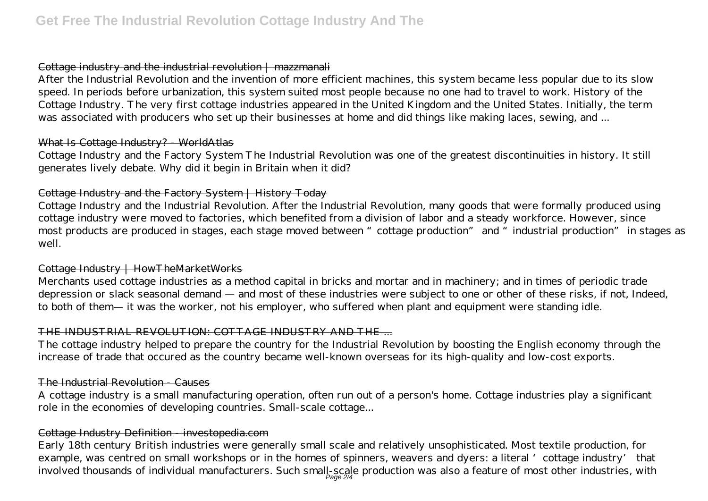#### Cottage industry and the industrial revolution | mazzmanali

After the Industrial Revolution and the invention of more efficient machines, this system became less popular due to its slow speed. In periods before urbanization, this system suited most people because no one had to travel to work. History of the Cottage Industry. The very first cottage industries appeared in the United Kingdom and the United States. Initially, the term was associated with producers who set up their businesses at home and did things like making laces, sewing, and ...

#### What Is Cottage Industry? - WorldAtlas

Cottage Industry and the Factory System The Industrial Revolution was one of the greatest discontinuities in history. It still generates lively debate. Why did it begin in Britain when it did?

# Cottage Industry and the Factory System | History Today

Cottage Industry and the Industrial Revolution. After the Industrial Revolution, many goods that were formally produced using cottage industry were moved to factories, which benefited from a division of labor and a steady workforce. However, since most products are produced in stages, each stage moved between "cottage production" and "industrial production" in stages as well.

#### Cottage Industry | HowTheMarketWorks

Merchants used cottage industries as a method capital in bricks and mortar and in machinery; and in times of periodic trade depression or slack seasonal demand — and most of these industries were subject to one or other of these risks, if not, Indeed, to both of them— it was the worker, not his employer, who suffered when plant and equipment were standing idle.

#### THE INDUSTRIAL REVOLUTION: COTTAGE INDUSTRY AND THE

The cottage industry helped to prepare the country for the Industrial Revolution by boosting the English economy through the increase of trade that occured as the country became well-known overseas for its high-quality and low-cost exports.

# The Industrial Revolution - Causes

A cottage industry is a small manufacturing operation, often run out of a person's home. Cottage industries play a significant role in the economies of developing countries. Small-scale cottage...

# Cottage Industry Definition - investopedia.com

Early 18th century British industries were generally small scale and relatively unsophisticated. Most textile production, for example, was centred on small workshops or in the homes of spinners, weavers and dyers: a literal 'cottage industry' that involved thousands of individual manufacturers. Such small-scale production was also a feature of most other industries, with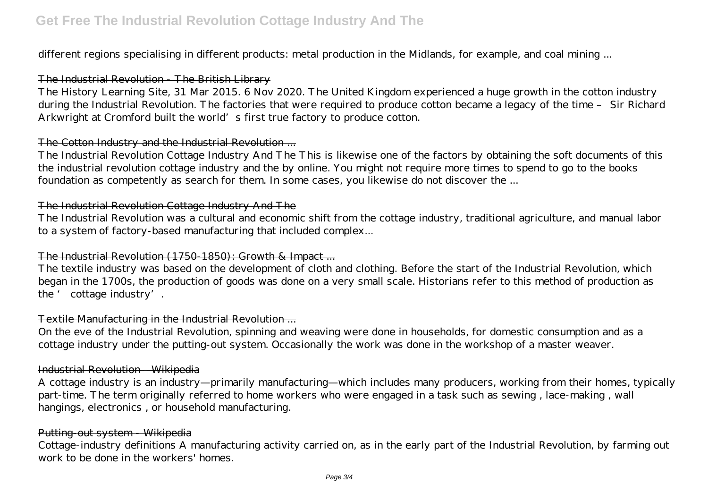different regions specialising in different products: metal production in the Midlands, for example, and coal mining ...

# The Industrial Revolution The British Library

The History Learning Site, 31 Mar 2015. 6 Nov 2020. The United Kingdom experienced a huge growth in the cotton industry during the Industrial Revolution. The factories that were required to produce cotton became a legacy of the time – Sir Richard Arkwright at Cromford built the world's first true factory to produce cotton.

# The Cotton Industry and the Industrial Revolution ...

The Industrial Revolution Cottage Industry And The This is likewise one of the factors by obtaining the soft documents of this the industrial revolution cottage industry and the by online. You might not require more times to spend to go to the books foundation as competently as search for them. In some cases, you likewise do not discover the ...

# The Industrial Revolution Cottage Industry And The

The Industrial Revolution was a cultural and economic shift from the cottage industry, traditional agriculture, and manual labor to a system of factory-based manufacturing that included complex...

# The Industrial Revolution (1750-1850): Growth & Impact ...

The textile industry was based on the development of cloth and clothing. Before the start of the Industrial Revolution, which began in the 1700s, the production of goods was done on a very small scale. Historians refer to this method of production as the ' cottage industry'.

# Textile Manufacturing in the Industrial Revolution ...

On the eve of the Industrial Revolution, spinning and weaving were done in households, for domestic consumption and as a cottage industry under the putting-out system. Occasionally the work was done in the workshop of a master weaver.

#### Industrial Revolution - Wikipedia

A cottage industry is an industry—primarily manufacturing—which includes many producers, working from their homes, typically part-time. The term originally referred to home workers who were engaged in a task such as sewing , lace-making , wall hangings, electronics , or household manufacturing.

#### Putting-out system - Wikipedia

Cottage-industry definitions A manufacturing activity carried on, as in the early part of the Industrial Revolution, by farming out work to be done in the workers' homes.